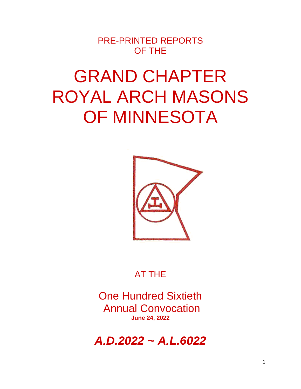PRE-PRINTED REPORTS OF THE

# GRAND CHAPTER ROYAL ARCH MASONS OF MINNESOTA



# AT THE

One Hundred Sixtieth Annual Convocation **June 24, 2022**

*A.D.2022 ~ A.L.6022*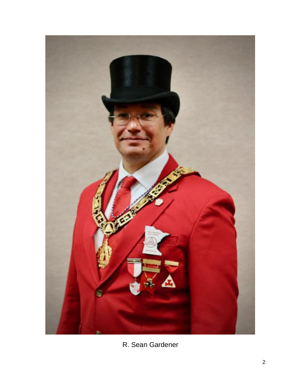

R. Sean Gardener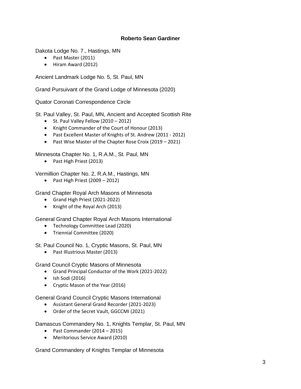#### **Roberto Sean Gardiner**

Dakota Lodge No. 7., Hastings, MN

- Past Master (2011)
- Hiram Award (2012)

Ancient Landmark Lodge No. 5, St. Paul, MN

Grand Pursuivant of the Grand Lodge of Minnesota (2020)

Quator Coronati Correspondence Circle

St. Paul Valley, St. Paul, MN, Ancient and Accepted Scottish Rite

- St. Paul Valley Fellow (2010 2012)
- Knight Commander of the Court of Honour (2013)
- Past Excellent Master of Knights of St. Andrew (2011 2012)
- Past Wise Master of the Chapter Rose Croix (2019 2021)

Minnesota Chapter No. 1, R.A.M., St. Paul, MN

• Past High Priest (2013)

Vermillion Chapter No. 2, R.A.M., Hastings, MN

• Past High Priest (2009 – 2012)

Grand Chapter Royal Arch Masons of Minnesota

- Grand High Priest (2021-2022)
- Knight of the Royal Arch (2013)

General Grand Chapter Royal Arch Masons International

- Technology Committee Lead (2020)
- Triennial Committee (2020)

St. Paul Council No. 1, Cryptic Masons, St. Paul, MN

• Past Illustrious Master (2013)

Grand Council Cryptic Masons of Minnesota

- Grand Principal Conductor of the Work (2021-2022)
- Ish Sodi (2016)
- Cryptic Mason of the Year (2016)

General Grand Council Cryptic Masons International

- Assistant General Grand Recorder (2021-2023)
- Order of the Secret Vault, GGCCMI (2021)

Damascus Commandery No. 1, Knights Templar, St. Paul, MN

- Past Commander (2014 2015)
- Meritorious Service Award (2010)

Grand Commandery of Knights Templar of Minnesota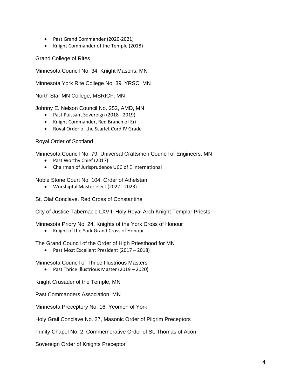- Past Grand Commander (2020-2021)
- Knight Commander of the Temple (2018)

Grand College of Rites

Minnesota Council No. 34, Knight Masons, MN

Minnesota York Rite College No. 39, YRSC, MN

North Star MN College, MSRICF, MN

Johnny E. Nelson Council No. 252, AMD, MN

- Past Puissant Sovereign (2018 2019)
- Knight Commander, Red Branch of Eri
- Royal Order of the Scarlet Cord IV Grade

Royal Order of Scotland

Minnesota Council No. 79, Universal Craftsmen Council of Engineers, MN

- Past Worthy Chief (2017)
- Chairman of Jurisprudence UCC of E International

Noble Stone Court No. 104, Order of Athelstan

• Worshipful Master elect (2022 - 2023)

St. Olaf Conclave, Red Cross of Constantine

City of Justice Tabernacle LXVII, Holy Royal Arch Knight Templar Priests

Minnesota Priory No. 24, Knights of the York Cross of Honour

• Knight of the York Grand Cross of Honour

The Grand Council of the Order of High Priesthood for MN

• Past Most Excellent President (2017 – 2018)

Minnesota Council of Thrice Illustrious Masters

• Past Thrice Illustrious Master (2019 – 2020)

Knight Crusader of the Temple, MN

Past Commanders Association, MN

Minnesota Preceptory No. 16, Yeomen of York

Holy Grail Conclave No. 27, Masonic Order of Pilgrim Preceptors

Trinity Chapel No. 2, Commemorative Order of St. Thomas of Acon

Sovereign Order of Knights Preceptor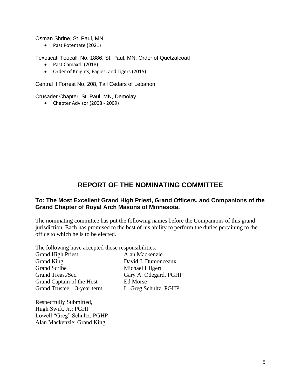Osman Shrine, St. Paul, MN

• Past Potentate (2021)

Texoticatl Teocalli No. 1886, St. Paul, MN, Order of Quetzalcoatl

- Past Camaxtli (2018)
- Order of Knights, Eagles, and Tigers (2015)

Central Il Forrest No. 208, Tall Cedars of Lebanon

Crusader Chapter, St. Paul, MN, Demolay

• Chapter Advisor (2008 - 2009)

#### **REPORT OF THE NOMINATING COMMITTEE**

#### **To: The Most Excellent Grand High Priest, Grand Officers, and Companions of the Grand Chapter of Royal Arch Masons of Minnesota.**

The nominating committee has put the following names before the Companions of this grand jurisdiction. Each has promised to the best of his ability to perform the duties pertaining to the office to which he is to be elected.

The following have accepted those responsibilities:

Grand High Priest Alan Mackenzie Grand King David J. Dumonceaux Grand Scribe Michael Hilgert Grand Treas./Sec. Gary A. Odegard, PGHP Grand Captain of the Host Ed Morse Grand Trustee – 3-year term L. Greg Schultz, PGHP

Respectfully Submitted, Hugh Swift, Jr.; PGHP Lowell "Greg" Schultz; PGHP Alan Mackenzie; Grand King

5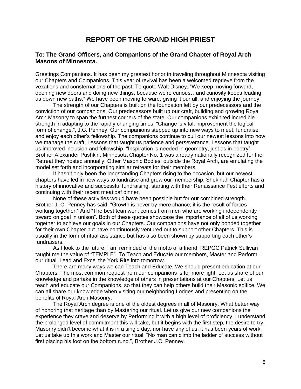#### **REPORT OF THE GRAND HIGH PRIEST**

#### **To: The Grand Officers, and Companions of the Grand Chapter of Royal Arch Masons of Minnesota.**

Greetings Companions. It has been my greatest honor in traveling throughout Minnesota visiting our Chapters and Companions. This year of revival has been a welcomed reprieve from the vexations and consternations of the past. To quote Walt Disney, "We keep moving forward, opening new doors and doing new things, because we're curious…and curiosity keeps leading us down new paths." We have been moving forward, giving it our all, and enjoying the journey.

The strength of our Chapters is built on the foundation left by our predecessors and the conviction of our companions. Our predecessors built up our craft, building and growing Royal Arch Masonry to span the furthest corners of the state. Our companions exhibited incredible strength in adapting to the rapidly changing times. "Change is vital, improvement the logical form of change.", J.C. Penney. Our companions stepped up into new ways to meet, fundraise, and enjoy each other's fellowship. The companions continue to pull our newest lessons into how we manage the craft. Lessons that taught us patience and perseverance. Lessons that taught us improved inclusion and fellowship. "Inspiration is needed in geometry, just as in poetry", Brother Alexander Pushkin. Minnesota Chapter No. 1 was already nationally recognized for the Retreat they hosted annually. Other Masonic Bodies, outside the Royal Arch, are emulating the model set forth and incorporating similar retreats for their members.

It hasn't only been the longstanding Chapters rising to the occasion, but our newest chapters have led in new ways to fundraise and grow our membership. Shekinah Chapter has a history of innovative and successful fundraising, starting with their Renaissance Fest efforts and continuing with their recent meatloaf dinner.

None of these activities would have been possible but for our combined strength. Brother J. C. Penney has said, "Growth is never by mere chance; it is the result of forces working together." And "The best teamwork comes from men who are working independently toward on goal in unison". Both of these quotes showcase the importance of all of us working together to achieve our goals in our Chapters. Our companions have not only bonded together for their own Chapter but have continuously ventured out to support other Chapters. This is usually in the form of ritual assistance but has also been shown by supporting each other's fundraisers.

As I look to the future, I am reminded of the motto of a friend. REPGC Patrick Sullivan taught me the value of "TEMPLE". To Teach and Educate our members, Master and Perform our ritual, Lead and Excel the York Rite into tomorrow.

There are many ways we can Teach and Educate. We should present education at our Chapters. The most common request from our companions is for more light. Let us share of our knowledge and partake in the knowledge of others in presentations at our Chapters. Let us teach and educate our Companions, so that they can help others build their Masonic edifice. We can all share our knowledge when visiting our neighboring Lodges and presenting on the benefits of Royal Arch Masonry.

The Royal Arch degree is one of the oldest degrees in all of Masonry. What better way of honoring that heritage than by Mastering our ritual. Let us give our new companions the experience they crave and deserve by Performing it with a high level of proficiency. I understand the prolonged level of commitment this will take, but it begins with the first step, the desire to try. Masonry didn't become what it is in a single day, nor have any of us, it has been years of work. Let us take up this work and Master our ritual. "No man can climb the ladder of success without first placing his foot on the bottom rung.", Brother J.C. Penney.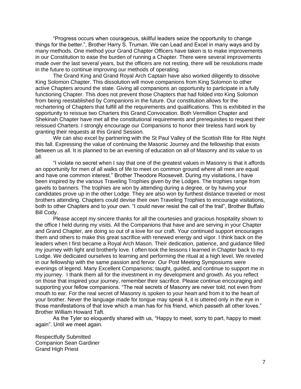"Progress occurs when courageous, skillful leaders seize the opportunity to change things for the better.", Brother Harry S. Truman. We can Lead and Excel in many ways and by many methods. One method your Grand Chapter Officers have taken is to make improvements in our Constitution to ease the burden of running a Chapter. There were several improvements made over the last several years, but the officers are not resting, there will be resolutions made in the future to continue improving our methods of operating.

The Grand King and Grand Royal Arch Captain have also worked diligently to dissolve King Solomon Chapter. This dissolution will move companions from King Solomon to other active Chapters around the state. Giving all companions an opportunity to participate in a fully functioning Chapter. This does not prevent those Chapters that had folded into King Solomon from being reestablished by Companions in the future. Our constitution allows for the rechartering of Chapters that fulfill all the requirements and qualifications. This is exhibited in the opportunity to reissue two Charters this Grand Convocation. Both Vermillion Chapter and Shekinah Chapter have met all the constitutional requirements and prerequisites to request their reissued Charters. I strongly encourage our Companions to honor their tireless hard work by granting their requests at this Grand Session.

We can also excel by partnering with the St Paul Valley of the Scottish Rite for Rite Night this fall. Expressing the value of continuing the Masonic Journey and the fellowship that exists between us all. It is planned to be an evening of education on all of Masonry and its value to us all.

"I violate no secret when I say that one of the greatest values in Masonry is that it affords an opportunity for men of all walks of life to meet on common ground where all men are equal and have one common interest." Brother Theodore Roosevelt. During my visitations, I have been inspired by the various Traveling Trophies given by the Lodges. The trophies range from gavels to banners. The trophies are won by attending during a degree, or by having your candidates prove up in the other Lodge. They are also won by furthest distance traveled or most brothers attending. Chapters could devise their own Traveling Trophies to encourage visitations, both to other Chapters and to your own. "I could never resist the call of the trail", Brother Buffalo Bill Cody.

Please accept my sincere thanks for all the courtesies and gracious hospitality shown to the office I held during my visits. All the Companions that have and are serving in your Chapter and Grand Chapter, are doing so out of a love for our craft. Your continued support encourages them and others to make this great sacrifice with renewed energy and vigor. I think back on the leaders when I first became a Royal Arch Mason. Their dedication, patience, and guidance filled my journey with light and brotherly love. I often took the lessons I learned in Chapter back to my Lodge. We dedicated ourselves to learning and performing the ritual at a high level. We reveled in our fellowship with the same passion and fervor. Our Post Meeting Symposiums were evenings of legend. Many Excellent Companions; taught, guided, and continue to support me in my journey. I thank them all for the investment in my development and growth. As you reflect on those that inspired your journey, remember their sacrifice. Please continue encouraging and supporting your fellow companions. "The real secrets of Masonry are never told, not even from mouth to ear. For the real secret of Masonry is spoken to your heart and from it to the heart of your brother. Never the language made for tongue may speak it, it is uttered only in the eye in those manifestations of that love which a man has for his friend, which passeth all other loves." Brother William Howard Taft.

As the Tyler so eloquently shared with us, "Happy to meet, sorry to part, happy to meet again". Until we meet again.

Respectfully Submitted Companion Sean Gardiner Grand High Priest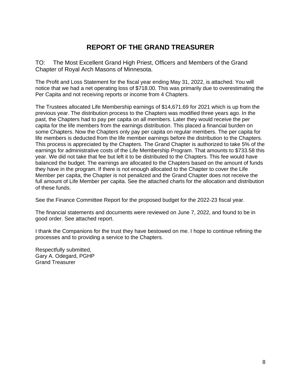## **REPORT OF THE GRAND TREASURER**

TO: The Most Excellent Grand High Priest, Officers and Members of the Grand Chapter of Royal Arch Masons of Minnesota.

The Profit and Loss Statement for the fiscal year ending May 31, 2022, is attached. You will notice that we had a net operating loss of \$718.00. This was primarily due to overestimating the Per Capita and not receiving reports or income from 4 Chapters.

The Trustees allocated Life Membership earnings of \$14,671.69 for 2021 which is up from the previous year. The distribution process to the Chapters was modified three years ago. In the past, the Chapters had to pay per capita on all members. Later they would receive the per capita for the life members from the earnings distribution. This placed a financial burden on some Chapters. Now the Chapters only pay per capita on regular members. The per capita for life members is deducted from the life member earnings before the distribution to the Chapters. This process is appreciated by the Chapters. The Grand Chapter is authorized to take 5% of the earnings for administrative costs of the Life Membership Program. That amounts to \$733.58 this year. We did not take that fee but left it to be distributed to the Chapters. This fee would have balanced the budget. The earnings are allocated to the Chapters based on the amount of funds they have in the program. If there is not enough allocated to the Chapter to cover the Life Member per capita, the Chapter is not penalized and the Grand Chapter does not receive the full amount of Life Member per capita. See the attached charts for the allocation and distribution of these funds.

See the Finance Committee Report for the proposed budget for the 2022-23 fiscal year.

The financial statements and documents were reviewed on June 7, 2022, and found to be in good order. See attached report.

I thank the Companions for the trust they have bestowed on me. I hope to continue refining the processes and to providing a service to the Chapters.

Respectfully submitted, Gary A. Odegard, PGHP Grand Treasurer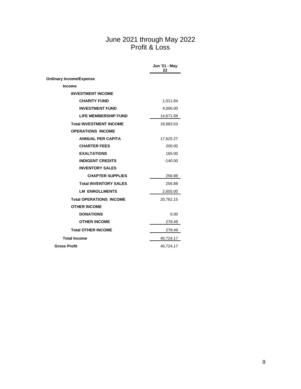#### June 2021 through May 2022 Profit & Loss

|                                | Jun '21 - May<br>22 |
|--------------------------------|---------------------|
| <b>Ordinary Income/Expense</b> |                     |
| <b>Income</b>                  |                     |
| <b>INVESTMENT INCOME</b>       |                     |
| <b>CHARITY FUND</b>            | 1,011.84            |
| <b>INVESTMENT FUND</b>         | 4,000.00            |
| <b>LIFE MEMBERSHIP FUND</b>    | 14,671.69           |
| <b>Total INVESTMENT INCOME</b> | 19,683.53           |
| <b>OPERATIONS INCOME</b>       |                     |
| <b>ANNUAL PER CAPITA</b>       | 17,625.27           |
| <b>CHARTER FEES</b>            | 200.00              |
| <b>EXALTATIONS</b>             | 165.00              |
| <b>INDIGENT CREDITS</b>        | $-140.00$           |
| <b>INVENTORY SALES</b>         |                     |
| <b>CHAPTER SUPPLIES</b>        | 256.88              |
| <b>Total INVENTORY SALES</b>   | 256.88              |
| <b>LM ENROLLMENTS</b>          | 2,655.00            |
| <b>Total OPERATIONS INCOME</b> | 20,762.15           |
| <b>OTHER INCOME</b>            |                     |
| <b>DONATIONS</b>               | 0.00                |
| <b>OTHER INCOME</b>            | 278.49              |
| <b>Total OTHER INCOME</b>      | 278.49              |
| <b>Total Income</b>            | 40,724.17           |
| <b>Gross Profit</b>            | 40,724.17           |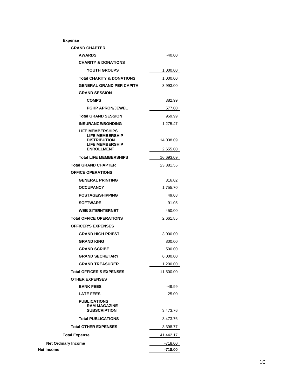| <b>Expense</b>                                                                                                          |                       |
|-------------------------------------------------------------------------------------------------------------------------|-----------------------|
| <b>GRAND CHAPTER</b>                                                                                                    |                       |
| <b>AWARDS</b>                                                                                                           | $-40.00$              |
| <b>CHARITY &amp; DONATIONS</b>                                                                                          |                       |
| YOUTH GROUPS                                                                                                            | 1,000.00              |
| <b>Total CHARITY &amp; DONATIONS</b>                                                                                    | 1,000.00              |
| <b>GENERAL GRAND PER CAPITA</b>                                                                                         | 3,993.00              |
| <b>GRAND SESSION</b>                                                                                                    |                       |
| <b>COMPS</b>                                                                                                            | 382.99                |
| <b>PGHP APRON/JEWEL</b>                                                                                                 | 577.00                |
| <b>Total GRAND SESSION</b>                                                                                              | 959.99                |
| <b>INSURANCE/BONDING</b>                                                                                                | 1,275.47              |
| <b>LIFE MEMBERSHIPS</b><br><b>LIFE MEMBERSHIP</b><br><b>DISTRIBUTION</b><br><b>LIFE MEMBERSHIP</b><br><b>ENROLLMENT</b> | 14,038.09<br>2,655.00 |
| <b>Total LIFE MEMBERSHIPS</b>                                                                                           | 16,693.09             |
| <b>Total GRAND CHAPTER</b>                                                                                              | 23,881.55             |
| <b>OFFICE OPERATIONS</b>                                                                                                |                       |
| <b>GENERAL PRINTING</b>                                                                                                 | 316.02                |
| <b>OCCUPANCY</b>                                                                                                        | 1,755.70              |
| <b>POSTAGE/SHIPPING</b>                                                                                                 | 49.08                 |
| <b>SOFTWARE</b>                                                                                                         | 91.05                 |
| <b>WEB SITE/INTERNET</b>                                                                                                | 450.00                |
| <b>Total OFFICE OPERATIONS</b>                                                                                          | 2,661.85              |
| <b>OFFICER'S EXPENSES</b>                                                                                               |                       |
| <b>GRAND HIGH PRIEST</b>                                                                                                | 3,000.00              |
| <b>GRAND KING</b>                                                                                                       | 800.00                |
| <b>GRAND SCRIBE</b>                                                                                                     | 500.00                |
| <b>GRAND SECRETARY</b>                                                                                                  | 6,000.00              |
| <b>GRAND TREASURER</b>                                                                                                  | 1,200.00              |
| <b>Total OFFICER'S EXPENSES</b>                                                                                         | 11,500.00             |
| <b>OTHER EXPENSES</b>                                                                                                   |                       |
| <b>BANK FEES</b>                                                                                                        | $-49.99$              |
| <b>LATE FEES</b>                                                                                                        | $-25.00$              |
| <b>PUBLICATIONS</b><br><b>RAM MAGAZINE</b><br><b>SUBSCRIPTION</b>                                                       | 3,473.76              |
| <b>Total PUBLICATIONS</b>                                                                                               | 3,473.76              |
| <b>Total OTHER EXPENSES</b>                                                                                             | 3,398.77              |
| <b>Total Expense</b>                                                                                                    | 41,442.17             |
| <b>Net Ordinary Income</b>                                                                                              | -718.00               |
| Income                                                                                                                  | -718.00               |

**Net Income**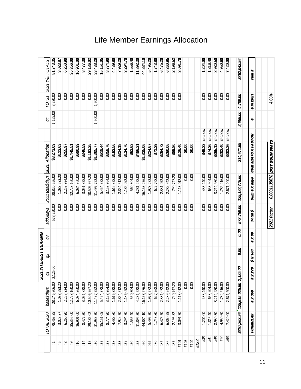# Life Member Earnings Allocation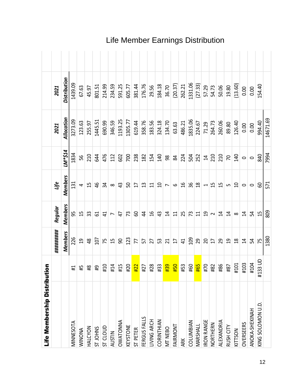| Life Membership Distribution |                                           |                 |                           |                          |                |            |                     |  |
|------------------------------|-------------------------------------------|-----------------|---------------------------|--------------------------|----------------|------------|---------------------|--|
|                              |                                           | #########       | Regular                   | Life                     |                | 2021       | 2021                |  |
|                              |                                           | <b>Members</b>  | <b>Members</b>            | <b>Members</b>           | LL\$*M1        | Allocation | <b>Distribution</b> |  |
| MINNESOTA                    | $\left  \frac{1}{4} \right $              | 226             | 59                        | 131                      | 1834           | 3273.09    | 1439.09             |  |
| <b>WINONIA</b>               | $\pm 5$                                   | $\overline{5}$  | $\overline{1}$            | 4                        | 95             | 123.63     | 67.63               |  |
| HALCYON                      | $\frac{8}{4}$                             | $\frac{8}{3}$   | 33                        | 15                       | 210            | 255.97     | 45.97               |  |
| ST JOHNS                     | $\overline{61}$                           | 107             | 5                         | $\frac{4}{6}$            | 644            | 1445.51    | 801.51              |  |
| <b>ST CLOUD</b>              | #10                                       | 75              | $\overline{4}$            | 34                       | 476            | 690.99     | 214.99              |  |
| <b>AUSTIN</b>                | #14                                       | 15              | $\overline{ }$            | $\infty$                 | 112            | 346.59     | 234.59              |  |
| <b>OWATONNA</b>              | #15                                       | 90              | $\ddot{t}$                | 43                       | 602            | 1193.25    | 591.25              |  |
| KEYSTONE                     |                                           | 123             | 73                        | SO                       | 700            | 1305.77    | 605.77              |  |
| ST PETER                     |                                           | 77              | 8                         | $\overline{17}$          | 238            | 619.44     | 381.44              |  |
| FERGUS FALLS                 |                                           | 57              | $\overline{4}$            | $\mathfrak{a}$           | 182            | 358.76     | 176.76              |  |
| LIVING ARCH                  |                                           | 27              | $\frac{9}{2}$             | $\Xi$                    | 154            | 183.56     | 29.56               |  |
| CORINTHIAN                   |                                           | 53              | $\frac{1}{4}$             | $\overline{a}$           | 140            | 324.18     | 184.18              |  |
| MT NEBO                      |                                           | $\overline{21}$ | $\overline{1}$            | $\overline{ }$           | $98\,$         | 134.70     | 36.70               |  |
| FAIRMONT                     | <mark>お</mark> # # <mark># #</mark> # # # | $\overline{17}$ | $\Xi$                     | $\circ$                  | 84             | 63.63      | (20.37)             |  |
| ARK                          |                                           | $\overline{4}$  | 25                        | $\frac{9}{1}$            | 224            | 486.21     | 262.21              |  |
| COLUMBIAN                    |                                           | 109             | 73                        | 36                       | 504            | 1835.06    | 1331.06             |  |
| MARSHALL                     |                                           | 29              | $\overline{\mathfrak{u}}$ | $\frac{8}{10}$           | 252            | 224.67     | (27.33)             |  |
| <b>IRON RANGE</b>            |                                           | $\overline{c}$  | $\overline{a}$            | $\overline{\phantom{0}}$ | $\overline{1}$ | 71.29      | 57.29               |  |
| NORTHERN                     |                                           | $\overline{1}$  | $\sim$                    | $\overline{1}$           | 210            | 264.73     | 54.73               |  |
| ALEXANDRIA                   |                                           | 29              | $\overline{1}$            | 15                       | 210            | 260.06     | 50.06               |  |
| RUSH CITY                    | 18#                                       | $\overline{5}$  | $\overline{1}$            | Lŋ                       | $\overline{2}$ | 89.80      | 19.80               |  |
| KITTSON                      | #101                                      | $\frac{8}{18}$  | $\infty$                  | $\Omega$                 | 140            | 126.40     | (13.60)             |  |
| <b>OVERSEERS</b>             | #103                                      | $\overline{1}$  | $\overline{1}$            | $\circ$                  | $\circ$        | 0.00       | 0.00                |  |
| ANOKA-SHEKINAH               | #104                                      | 54              | 54                        | $\circ$                  | $\circ$        | 0.00       | 0.00                |  |
| KING SOLOMON U.D.            | #133 UD                                   | 75              | $\overline{1}$            | 60                       | 840            | 994.40     | 154.40              |  |
|                              |                                           | 1380            | 809                       | 571                      | 7994           | 14671.69   |                     |  |

# Life Member Earnings Distribution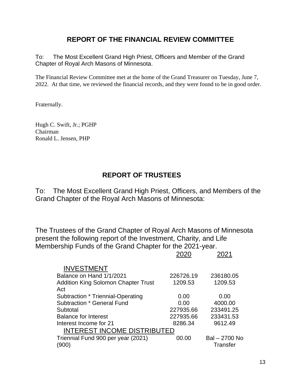#### **REPORT OF THE FINANCIAL REVIEW COMMITTEE**

To: The Most Excellent Grand High Priest, Officers and Member of the Grand Chapter of Royal Arch Masons of Minnesota.

The Financial Review Committee met at the home of the Grand Treasurer on Tuesday, June 7, 2022. At that time, we reviewed the financial records, and they were found to be in good order.

Fraternally.

Hugh C. Swift, Jr.; PGHP Chairman Ronald L. Jensen, PHP

## **REPORT OF TRUSTEES**

To: The Most Excellent Grand High Priest, Officers, and Members of the Grand Chapter of the Royal Arch Masons of Minnesota:

The Trustees of the Grand Chapter of Royal Arch Masons of Minnesota present the following report of the Investment, Charity, and Life Membership Funds of the Grand Chapter for the 2021-year.

2020 2021

|                                            | ∠∪∠∪      | ∠∪∠ ا         |
|--------------------------------------------|-----------|---------------|
| <b>INVESTMENT</b>                          |           |               |
| Balance on Hand 1/1/2021                   | 226726.19 | 236180.05     |
| <b>Addition King Solomon Chapter Trust</b> | 1209.53   | 1209.53       |
| Act                                        |           |               |
| Subtraction * Triennial-Operating          | 0.00      | 0.00          |
| <b>Subtraction * General Fund</b>          | 0.00      | 4000.00       |
| Subtotal                                   | 227935.66 | 233491.25     |
| <b>Balance for Interest</b>                | 227935.66 | 233431.53     |
| Interest Income for 21                     | 8286.34   | 9612.49       |
| <b>INTEREST INCOME DISTRIBUTED</b>         |           |               |
| Triennial Fund 900 per year (2021)         | 00.00     | Bal - 2700 No |
| (900)                                      |           | Transfer      |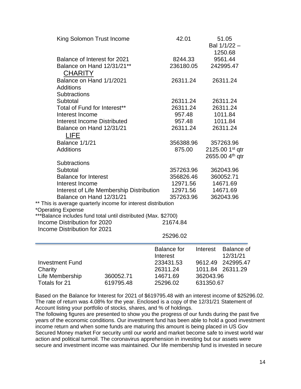|                              | King Solomon Trust Income                                      |          | 42.01              |           | 51.05<br>Bal 1/1/22 -<br>1250.68 |
|------------------------------|----------------------------------------------------------------|----------|--------------------|-----------|----------------------------------|
|                              | Balance of Interest for 2021                                   |          | 8244.33            |           | 9561.44                          |
|                              | Balance on Hand 12/31/21**                                     |          | 236180.05          |           | 242995.47                        |
| <b>CHARITY</b>               |                                                                |          |                    |           |                                  |
|                              | Balance on Hand 1/1/2021                                       |          | 26311.24           |           | 26311.24                         |
| <b>Additions</b>             |                                                                |          |                    |           |                                  |
| Subtractions                 |                                                                |          |                    |           |                                  |
| Subtotal                     |                                                                |          | 26311.24           |           | 26311.24                         |
|                              | Total of Fund for Interest**                                   |          | 26311.24           |           | 26311.24                         |
| Interest Income              |                                                                |          | 957.48             |           | 1011.84                          |
|                              | <b>Interest Income Distributed</b>                             |          | 957.48             |           | 1011.84                          |
|                              | Balance on Hand 12/31/21                                       |          | 26311.24           |           | 26311.24                         |
| <b>LIFE</b>                  |                                                                |          |                    |           |                                  |
| <b>Balance 1/1/21</b>        |                                                                |          | 356388.96          |           | 357263.96                        |
| <b>Additions</b>             |                                                                |          | 875.00             |           | 2125.00 1st qtr                  |
|                              |                                                                |          |                    |           | 2655.00 4 <sup>th</sup> qtr      |
| <b>Subtractions</b>          |                                                                |          |                    |           |                                  |
| Subtotal                     |                                                                |          | 357263.96          |           | 362043.96                        |
| <b>Balance for Interest</b>  |                                                                |          | 356826.46          |           | 360052.71                        |
| Interest Income              |                                                                |          | 12971.56           |           | 14671.69                         |
|                              | Interest of Life Membership Distribution                       |          | 12971.56           |           | 14671.69                         |
|                              | Balance on Hand 12/31/21                                       |          | 357263.96          |           | 362043.96                        |
|                              | ** This is average quarterly income for interest distribution  |          |                    |           |                                  |
| *Operating Expense           |                                                                |          |                    |           |                                  |
| Income Distribution for 2020 | ***Balance includes fund total until distributed (Max. \$2700) |          | 21674.84           |           |                                  |
| Income Distribution for 2021 |                                                                |          |                    |           |                                  |
|                              |                                                                |          | 25296.02           |           |                                  |
|                              |                                                                |          |                    |           |                                  |
|                              |                                                                |          | <b>Balance for</b> | Interest  | Balance of                       |
|                              |                                                                | Interest |                    |           | 12/31/21                         |
| <b>Investment Fund</b>       |                                                                |          | 233431.53          | 9612.49   | 242995.47                        |
| Charity                      |                                                                |          | 26311.24           | 1011.84   | 26311.29                         |
| Life Membership              | 360052.71                                                      |          | 14671.69           | 362043.96 |                                  |
| Totals for 21                | 619795.48                                                      |          | 25296.02           | 631350.67 |                                  |
|                              |                                                                |          |                    |           |                                  |

Based on the Balance for Interest for 2021 of \$619795.48 with an interest income of \$25296.02. The rate of return was 4.08% for the year. Enclosed is a copy of the 12/31/21 Statement of Account listing your portfolio of stocks, shares, and % of holdings.

The following figures are presented to show you the progress of our funds during the past five years of the economic conditions. Our investment fund has been able to hold a good investment income return and when some funds are maturing this amount is being placed in US Gov Secured Money market For security until our world and market become safe to invest world war action and political turmoil. The coronavirus apprehension in investing but our assets were secure and investment income was maintained. Our life membership fund is invested in secure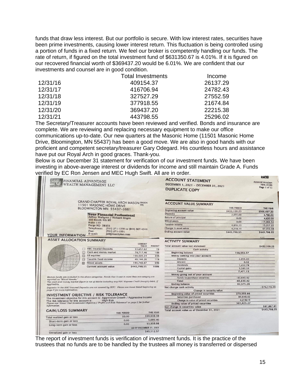funds that draw less interest. But our portfolio is secure. With low interest rates, securities have been prime investments, causing lower interest return. This fluctuation is being controlled using a portion of funds in a fixed return. We feel our broker is competently handling our funds. The rate of return, if figured on the total investment fund of \$631350.67 is 4.01%. If it is figured on our recovered financial worth of \$369437.20 would be 6.01%. We are confident that our investments and counsel are in good condition.

|          | <b>Total Investments</b> | Income   |
|----------|--------------------------|----------|
| 12/31/16 | 409154.37                | 26137.29 |
| 12/31/17 | 416706.94                | 24782.43 |
| 12/31/18 | 327527.29                | 27552.59 |
| 12/31/19 | 377918.55                | 21674.84 |
| 12/31/20 | 369437.20                | 22215.38 |
| 12/31/21 | 443798.55                | 25296.02 |

The Secretary/Treasurer accounts have been reviewed and verified. Bonds and insurance are complete. We are reviewing and replacing necessary equipment to make our office communications up-to-date. Our new quarters at the Masonic Home (11501 Masonic Home Drive, Bloomington, MN 55437) has been a good move. We are also in good hands with our proficient and competent secretary/treasurer Gary Odegard. His countless hours and assistance have put our Royal Arch in good graces. Thank-you.

Below is our December 31 statement for verification of our investment funds. We have been investing in above-average interest or dividends for income and still maintain Grade A. Funds verified by EC Ron Jensen and MEC Hugh Swift. All are in order.

|                                         | FINANCIAL ADVANTAGE<br>WEALTH MANAGEMENT LLC                                                                        |                         |                | <b>ACCOUNT STATEMENT</b><br>DECEMBER 1, 2021 - DECEMBER 31, 2021<br><b>DUPLICATE COPY</b> |                    | <b>LUX</b><br>Account number:<br>7R4-15186<br>Page 1 of 11 |
|-----------------------------------------|---------------------------------------------------------------------------------------------------------------------|-------------------------|----------------|-------------------------------------------------------------------------------------------|--------------------|------------------------------------------------------------|
|                                         | <b>GRAND CHAPTER ROYAL ARCH MASON SNOEN</b>                                                                         |                         |                | <b>ACCOUNT VALUE SUMMARY</b>                                                              |                    |                                                            |
|                                         | 11501 MASONIC HOME DRIVE                                                                                            |                         |                |                                                                                           | <b>THIS PERIOD</b> |                                                            |
|                                         | BLOOMINGTON MN 55437-3661                                                                                           |                         |                | <b>Beginning account value</b>                                                            | \$432,109.23       | <b>THIS YEAR</b><br>\$369,437.20                           |
|                                         | <b>Your Financial Professional</b>                                                                                  |                         |                | <b>Deposits</b>                                                                           | 2.655.00           | 4,780,00                                                   |
|                                         | Jeffrey Wallgren / Richard Engen                                                                                    |                         |                | Return of principal                                                                       | 0.00               | 4,620.09                                                   |
|                                         | 100 South 4th ST                                                                                                    |                         |                | Withdrawals                                                                               | 0.00               | $-17,966,54$                                               |
|                                         | Suite 110<br>Fargo ND 58103                                                                                         |                         |                | Taxable Income                                                                            | 4,816.13           | 15,017.22                                                  |
|                                         | Telephone:<br>(701) 271-1590 or (844) 567-4544                                                                      |                         |                | Change In asset value                                                                     | 4,218.19           | 67.910.58                                                  |
|                                         | Fax:<br>$(701)$ 271-1591                                                                                            |                         |                | <b>Ending account value</b>                                                               | \$443,798.55       | \$443,798.55                                               |
| YOUR INFORMATION                        | E-mail:<br>jeft@time2plan.com                                                                                       |                         |                |                                                                                           |                    |                                                            |
|                                         |                                                                                                                     |                         |                |                                                                                           |                    | 51n                                                        |
| <b>ASSET ALLOCATION SUMMARY</b>         |                                                                                                                     |                         |                | <b>ACTIVITY SUMMARY</b>                                                                   |                    |                                                            |
|                                         |                                                                                                                     | <b>CURRENT</b><br>VALUE | <b>PERCENT</b> | Total account value last statement                                                        |                    |                                                            |
|                                         | <b>RBC Insured Deposits</b>                                                                                         | \$3,657.82              | 1%             | Cash activity                                                                             |                    | \$432,109.23                                               |
| 國                                       | Cash and money market                                                                                               | 78,717.46               | 18%            | <b>Beginning balance</b>                                                                  | 158,553.57         |                                                            |
| 率                                       | US equities                                                                                                         | 156,535.34              | 35%            | Money coming into your account                                                            |                    |                                                            |
| 議                                       | Taxable fixed income                                                                                                | 49,144.26               | 11%            | <b>Deposits</b>                                                                           | 2.655.00           |                                                            |
| 鼢                                       | Mixed assets                                                                                                        | 155,743.67              | 35%            | Interest                                                                                  | 0.02               |                                                            |
|                                         | Current account value                                                                                               | \$443,798.55            | 100%           | <b>Dividends</b>                                                                          | 1.432.78           |                                                            |
|                                         |                                                                                                                     |                         |                | Capital gains                                                                             | 3,383,33           |                                                            |
|                                         |                                                                                                                     |                         |                | Total                                                                                     | 7,471.13           |                                                            |
|                                         |                                                                                                                     |                         |                | Money going out of your account                                                           |                    |                                                            |
| reported as "Mixed Assets.              | Mutual funds are included in the above categories. Funds that invest in more than one category are                  |                         |                | Funds to purchase securities                                                              | $-83,649.42$       |                                                            |
|                                         | The cash and money market figure is net of debits including any RBC Express Credit (margin) debit, if               |                         |                | Total                                                                                     | $-83,649.42$       |                                                            |
| applicable                              |                                                                                                                     |                         |                | <b>Ending balance</b>                                                                     | 82,375.28          |                                                            |
|                                         | Deposits in the RBC Insured Deposits are not covered by SIPC. Please see Asset Detail beginning on                  |                         |                | Net change cash activity                                                                  |                    | $-576.178.29$                                              |
| page 4 for more information.            |                                                                                                                     |                         |                | Change in security value                                                                  |                    |                                                            |
|                                         | INVESTMENT OBJECTIVE / RISK TOLERANCE                                                                               |                         |                | Beginning value of priced securities                                                      | 273,555.66         |                                                            |
|                                         | The investment objective for this account is: Aggressive Growth / Aggressive Income                                 |                         |                | Securities purchased                                                                      | 83,649.42          |                                                            |
| The risk tolerance for this account is: | <b>High Risk</b><br>Please see 'About Your Investment Objective / Profile and Risk Tolerance' on page 2 for further |                         |                | Change in value of priced securities                                                      | 4,218.19           |                                                            |
| information.                            |                                                                                                                     |                         |                | Ending value of priced securities                                                         | 361,423.27         | \$87,867.61                                                |
|                                         |                                                                                                                     |                         |                | Net change in securities value                                                            |                    | \$443,798.55                                               |
| <b>GAIN/LOSS SUMMARY</b>                | <b>THIS PERIOD</b>                                                                                                  |                         | THIS YEAR      | Total account value as of December 31, 2021                                               |                    |                                                            |
| Total realized gain or loss             | \$0.00                                                                                                              |                         | \$59,638.38    |                                                                                           |                    |                                                            |
|                                         | 0.00                                                                                                                |                         | 5,699.40       |                                                                                           |                    |                                                            |
| Short-term gain or loss                 | 0.00                                                                                                                |                         | 53,938.98      |                                                                                           |                    |                                                            |
| Long-term gain or loss                  |                                                                                                                     | AS OF DECEMBER 31, 2021 |                |                                                                                           |                    |                                                            |
|                                         |                                                                                                                     |                         |                |                                                                                           |                    |                                                            |
| Unrealized gain or loss                 |                                                                                                                     |                         | \$45,112.57    |                                                                                           |                    |                                                            |

The report of investment funds is verification of investment funds. It is the practice of the trustees that no funds are to be handled by the trustees all money is transferred or dispersed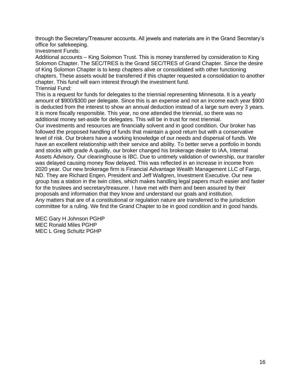through the Secretary/Treasurer accounts. All jewels and materials are in the Grand Secretary's office for safekeeping.

Investment Funds:

Additional accounts – King Solomon Trust. This is money transferred by consideration to King Solomon Chapter. The SEC/TRES is the Grand SEC/TRES of Grand Chapter. Since the desire of King Solomon Chapter is to keep chapters alive or consolidated with other functioning chapters. These assets would be transferred if this chapter requested a consolidation to another chapter. This fund will earn interest through the investment fund. Triennial Fund:

This is a request for funds for delegates to the triennial representing Minnesota. It is a yearly amount of \$900/\$300 per delegate. Since this is an expense and not an income each year \$900 is deducted from the interest to show an annual deduction instead of a large sum every 3 years. It is more fiscally responsible. This year, no one attended the triennial, so there was no additional money set-aside for delegates. This will be in trust for next triennial.

Our investments and resources are financially solvent and in good condition. Our broker has followed the proposed handling of funds that maintain a good return but with a conservative level of risk. Our brokers have a working knowledge of our needs and dispersal of funds. We have an excellent relationship with their service and ability. To better serve a portfolio in bonds and stocks with grade A quality, our broker changed his brokerage dealer to IAA, Internal Assets Advisory. Our clearinghouse is IBC. Due to untimely validation of ownership, our transfer was delayed causing money flow delayed. This was reflected in an increase in income from 2020 year. Our new brokerage firm is Financial Advantage Wealth Management LLC of Fargo, ND. They are Richard Engen, President and Jeff Wallgren, Investment Executive. Our new group has a station in the twin cities, which makes handling legal papers much easier and faster for the trustees and secretary/treasurer. I have met with them and been assured by their proposals and information that they know and understand our goals and institution. Any matters that are of a constitutional or regulation nature are transferred to the jurisdiction committee for a ruling. We find the Grand Chapter to be in good condition and in good hands.

MEC Gary H Johnson PGHP MEC Ronald Miles PGHP MEC L Greg Schultz PGHP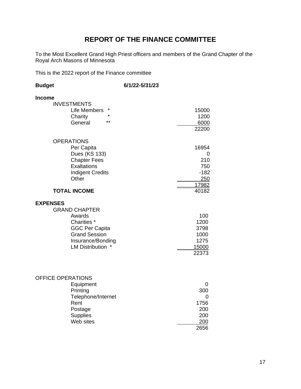## **REPORT OF THE FINANCE COMMITTEE**

To the Most Excellent Grand High Priest officers and members of the Grand Chapter of the Royal Arch Masons of Minnesota

This is the 2022 report of the Finance committee

| <b>Budget</b>                                                                                                                                                                                  | 6/1/22-5/31/23                                             |
|------------------------------------------------------------------------------------------------------------------------------------------------------------------------------------------------|------------------------------------------------------------|
| <b>Income</b><br><b>INVESTMENTS</b><br>Life Members<br>$\star$<br>Charity<br>$***$<br>General<br><b>OPERATIONS</b><br>Per Capita<br>Dues (KS 133)<br><b>Chapter Fees</b><br><b>Exaltations</b> | 15000<br>1200<br>6000<br>22200<br>16954<br>0<br>210<br>750 |
| <b>Indigent Credits</b><br>Other<br><b>TOTAL INCOME</b>                                                                                                                                        | $-182$<br>250<br>17982<br>40182                            |
| <b>EXPENSES</b><br><b>GRAND CHAPTER</b><br>Awards<br>Charities *<br><b>GGC Per Capita</b><br><b>Grand Session</b><br>Insurance/Bonding<br>LM Distribution *                                    | 100<br>1200<br>3798<br>1000<br>1275<br>15000<br>22373      |
| <b>OFFICE OPERATIONS</b><br>Equipment<br>Printing<br>Telephone/Internet<br>Rent                                                                                                                | 0<br>300<br>0<br>1756                                      |

Postage 200<br>Supplies 200

Web sites 200

2656

Supplies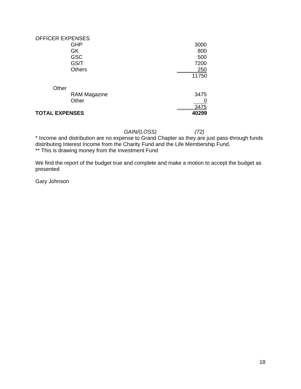| <b>OFFICER EXPENSES</b> |       |
|-------------------------|-------|
| <b>GHP</b>              | 3000  |
| GK                      | 800   |
| <b>GSC</b>              | 500   |
| GS/T                    | 7200  |
| <b>Others</b>           | 250   |
|                         | 11750 |
| Other                   |       |
| <b>RAM Magazine</b>     | 3475  |
| Other                   | 0     |
|                         | 3475  |
| <b>TOTAL EXPENSES</b>   | 40299 |

*GAIN/(LOSS) (72)*

\* Income and distribution are no expense to Grand Chapter as they are just pass-through funds distributing Interest Income from the Charity Fund and the Life Membership Fund. \*\* This is drawing money from the Investment Fund

We find the report of the budget true and complete and make a motion to accept the budget as presented

Gary Johnson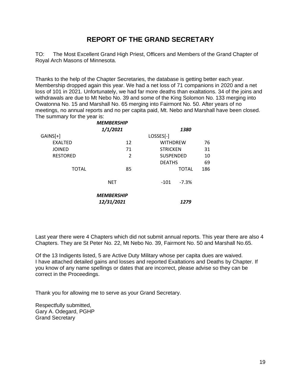#### **REPORT OF THE GRAND SECRETARY**

TO: The Most Excellent Grand High Priest, Officers and Members of the Grand Chapter of Royal Arch Masons of Minnesota.

Thanks to the help of the Chapter Secretaries, the database is getting better each year. Membership dropped again this year. We had a net loss of 71 companions in 2020 and a net loss of 101 in 2021. Unfortunately, we had far more deaths than exaltations. 34 of the joins and withdrawals are due to Mt Nebo No. 39 and some of the King Solomon No. 133 merging into Owatonna No. 15 and Marshall No. 65 merging into Fairmont No. 50. After years of no meetings, no annual reports and no per capita paid, Mt. Nebo and Marshall have been closed. The summary for the year is:

|                 | <b>MEMBERSHIP</b>               |                  |              |     |
|-----------------|---------------------------------|------------------|--------------|-----|
|                 | 1/1/2021                        |                  | 1380         |     |
| GAINS[+]        |                                 | LOSSES[-]        |              |     |
| <b>EXALTED</b>  | 12                              | <b>WITHDREW</b>  |              | 76  |
| <b>JOINED</b>   | 71                              | <b>STRICKEN</b>  |              | 31  |
| <b>RESTORED</b> | $\overline{2}$                  | <b>SUSPENDED</b> |              | 10  |
|                 |                                 | <b>DEATHS</b>    |              | 69  |
| <b>TOTAL</b>    | 85                              |                  | <b>TOTAL</b> | 186 |
|                 | <b>NET</b>                      | $-101$           | $-7.3%$      |     |
|                 | <b>MEMBERSHIP</b><br>12/31/2021 |                  | 1279         |     |
|                 |                                 |                  |              |     |

Last year there were 4 Chapters which did not submit annual reports. This year there are also 4 Chapters. They are St Peter No. 22, Mt Nebo No. 39, Fairmont No. 50 and Marshall No.65.

Of the 13 Indigents listed, 5 are Active Duty Military whose per capita dues are waived. I have attached detailed gains and losses and reported Exaltations and Deaths by Chapter. If you know of any name spellings or dates that are incorrect, please advise so they can be correct in the Proceedings.

Thank you for allowing me to serve as your Grand Secretary.

Respectfully submitted, Gary A. Odegard, PGHP Grand Secretary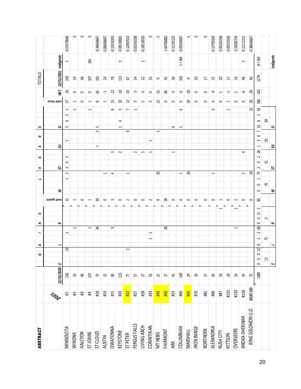| ABSTRACT          |                 |                           | O                             | ≺             |                                                      | 2                        | S                        |                          | ⊣                                   | $\circ$                  | S           | S                                         | ш                        |                          | ပ                             |        |                          |                           | <b>TOTALS</b>                              |                          |               |
|-------------------|-----------------|---------------------------|-------------------------------|---------------|------------------------------------------------------|--------------------------|--------------------------|--------------------------|-------------------------------------|--------------------------|-------------|-------------------------------------------|--------------------------|--------------------------|-------------------------------|--------|--------------------------|---------------------------|--------------------------------------------|--------------------------|---------------|
|                   | Frida           | 12/31/2020                | щ                             | -             |                                                      | $\approx$                |                          | ₹<br>uing jau            |                                     | 5                        |             | వె                                        |                          |                          | Q                             |        |                          | ssoj jau                  |                                            | NET 12/31/2021 Indigents |               |
| MINNESOTA         | #1              | 226                       |                               | a             | $\overline{\phantom{0}}$                             |                          |                          | ਜ਼                       | $\overline{\phantom{0}}$            | $\sim$<br>$\sim$         | $\sim$<br>G |                                           | $\overline{\phantom{0}}$ |                          | 4<br>$\sim$                   | $\sim$ | $\overline{\phantom{0}}$ | 27                        | 210<br>95-                                 | ſ                        | $-0.07079646$ |
| <b>WINONA</b>     | #5              | $\mathfrak{Q}$            |                               |               |                                                      | $\overline{\phantom{0}}$ |                          | $\overline{\phantom{0}}$ |                                     |                          |             |                                           |                          |                          |                               |        | $\overline{\phantom{0}}$ | 1                         | <b>g</b><br>$\circ$                        |                          | $\circ$       |
| HALCYON           | $\sharp\sharp$  | $\frac{8}{3}$             |                               |               |                                                      |                          |                          | $\circ$                  |                                     |                          |             |                                           |                          |                          |                               |        |                          | $\circ$                   | $48$<br>$\circ$                            |                          | $\circ$       |
| ST JOHNS          | $\mathfrak{P}$  | 107                       |                               |               |                                                      | $\overline{\phantom{0}}$ |                          | $\overline{\phantom{0}}$ |                                     |                          |             |                                           |                          |                          |                               |        | $\overline{\phantom{0}}$ | $\overline{\phantom{0}}$  | $\overline{10}$<br>$\circ$                 | $\geqslant$              | $\circ$       |
| <b>ST CLOUD</b>   | #10             | 75                        |                               |               |                                                      | 34                       |                          | ž                        |                                     |                          |             | $\overline{\phantom{0}}$                  |                          | $\sim$                   | 5                             |        |                          | $\infty$                  | $\Xi$<br>26                                |                          | 0.34666667    |
| <b>AUSTIN</b>     | #14             | 凸                         |                               |               |                                                      |                          |                          | $\circ$                  |                                     | $\overline{\phantom{0}}$ |             |                                           |                          |                          |                               |        |                          | $\overline{\phantom{0}}$  | $\overline{a}$<br>Ļ                        |                          | $-0.06666667$ |
| <b>OWATONNA</b>   | #15             | ஜ                         |                               |               |                                                      | $\mathbf{\infty}$        |                          | $\sim$                   |                                     | 4                        |             | $\sim$                                    |                          |                          |                               |        | $\infty$                 | 15                        | $78$<br>Ċ.                                 |                          | $-0.1333333$  |
| KEYSTONE          | #20             | 123                       |                               |               |                                                      |                          |                          | $\circ$                  |                                     |                          |             | $\sim$                                    |                          |                          | 4<br>$\overline{\phantom{0}}$ |        | $\sim$                   | $\Xi$                     | 13<br>٩P.                                  | $\sim$                   | $-0.08130081$ |
| <b>STPETER</b>    | #22             | 77                        |                               | $\sim$        |                                                      |                          |                          | $\sim$                   |                                     | $\overline{\phantom{0}}$ |             |                                           |                          | 4                        |                               |        | $\overline{ }$           | $\overline{\mathfrak{u}}$ | 5<br>ې.                                    |                          | $-0.12987013$ |
| FERGUS FALLS      | $f$ #27         | 57                        |                               |               |                                                      |                          |                          | $\circ$                  |                                     |                          |             | $\sim$                                    |                          |                          |                               |        | $\overline{\phantom{0}}$ | $\mathbf{\tilde{e}}$      | 24<br>ن.                                   |                          | $-0.05263158$ |
| LIVING ARCH       | #28             | 27                        |                               |               |                                                      |                          |                          | $\circ$                  |                                     |                          |             | S                                         |                          |                          |                               |        |                          | S                         | 22<br>Ļ٣                                   | $\overline{\phantom{0}}$ | $-0.18518519$ |
| CORINTHIAN        | #33             | æ                         |                               |               | $\overline{\phantom{0}}$<br>$\overline{\phantom{0}}$ |                          |                          | $\sim$                   |                                     |                          |             | $\overline{\phantom{0}}$                  | $\overline{\phantom{0}}$ |                          |                               |        |                          | $\sim$                    | S.<br>$\circ$                              |                          | $\circ$       |
| MT NEBO           | #39             | $\overline{\mathfrak{c}}$ |                               |               |                                                      |                          |                          | $\circ$                  |                                     | $\Omega$                 |             |                                           |                          | $\overline{\phantom{0}}$ |                               |        |                          | $\overline{z}$            | $\circ$<br>-21                             |                          | F             |
| FAIRMONT          | #50             | IJ                        |                               |               |                                                      | $\overline{28}$          |                          | $\approx$                |                                     |                          |             |                                           |                          |                          |                               |        |                          | $\circ$                   | 45<br>$^{28}$                              |                          | 1.64705882    |
| ARK               | $\sharp 53$     | 41                        |                               |               |                                                      |                          |                          | $\circ$                  |                                     |                          |             | $\overline{\phantom{0}}$                  |                          |                          | 4                             |        |                          | S                         | 96<br>Ļ                                    |                          | $-0.12195122$ |
| COLUMBIAN         | #60             | $\mathfrak{g}$            |                               |               |                                                      |                          |                          | $\circ$                  |                                     | $\overline{\phantom{0}}$ |             |                                           |                          |                          | $\overline{\phantom{0}}$      |        | 4                        | $\mathbf \omega$          | $\Xi$<br>ې                                 | $1 + 3M$                 | $-0.05504587$ |
| MARSHALL          | #65             | 29                        |                               |               |                                                      |                          |                          | $\circ$                  |                                     | $\mathfrak{B}$           |             |                                           |                          |                          |                               |        |                          | 29                        | $\circ$<br>52-                             |                          | ᅻ             |
| <b>IRON RANGE</b> | #70             | $\mathfrak{A}$            |                               |               |                                                      |                          |                          | $\circ$                  |                                     |                          |             |                                           |                          |                          |                               |        |                          | $\circ$                   | $\mathfrak{A}$<br>$\circ$                  |                          | $\circ$       |
| NORTHERN          | $\frac{44}{34}$ | IJ                        |                               |               |                                                      |                          |                          | $\circ$                  |                                     |                          |             |                                           |                          |                          |                               |        |                          | $\circ$                   | H<br>$\circ$                               |                          | $\circ$       |
| ALEXANDRIA        | #86             | 50                        |                               |               |                                                      |                          |                          | $\circ$                  |                                     | $\overline{\phantom{0}}$ |             |                                           |                          |                          |                               |        | $\mathbf{\infty}$        | 4                         | 25<br>4                                    |                          | $-0.13793103$ |
| RUSH CITY         | #87             | $\overline{a}$            |                               |               |                                                      |                          | $\overline{\phantom{0}}$ | $\overline{\phantom{0}}$ |                                     |                          |             |                                           |                          |                          |                               |        |                          | $\circ$                   | $\mathfrak{A}$<br>$\overline{\phantom{0}}$ |                          | 0.05263158    |
| KITTSON           | #101            | $\frac{8}{2}$             |                               |               |                                                      |                          |                          | $\circ$                  |                                     |                          |             |                                           |                          |                          |                               |        | $\overline{\phantom{0}}$ | $\overline{\phantom{0}}$  | IJ<br>부                                    |                          | $-0.0555556$  |
| <b>OVERSEERS</b>  | #103            | $\overline{1}$            |                               |               |                                                      | $\overline{\phantom{a}}$ | $\overline{\phantom{0}}$ | $\sim$                   |                                     |                          |             |                                           |                          |                          |                               |        |                          | $\circ$                   | βÎ<br>$\sim$                               |                          | 0.14285714    |
| ANOKA-SHEKINAH    | #104            | 먾                         |                               |               |                                                      |                          |                          | $\circ$                  |                                     | $\sim$                   |             | 4                                         |                          |                          |                               |        |                          | $\mathbf \omega$          | $48$<br>ې                                  | $\sim$                   | $-0.11111111$ |
| KING SOLOMON U.D. | #133 UD         | 75                        |                               |               |                                                      |                          |                          | $\circ$                  |                                     | $\overline{a}$           |             |                                           |                          |                          |                               |        | 15                       | 50                        | $\frac{4}{5}$<br>52-                       |                          | $-0.38666667$ |
|                   |                 | 1380                      | $\circ$<br>$\circ$<br>$\circ$ | $\circ$<br>12 | $\sim$<br>$\overline{\phantom{0}}$                   | $\circ$<br>$\circ$<br>68 | $\sim$<br>$\circ$        | $\circ$<br>58            | $\overline{\phantom{0}}$<br>$\circ$ | $\sim$<br>75             | $\sim$<br>9 | $\overline{\phantom{0}}$<br>$\frac{8}{2}$ | $\circ$<br>$\sim$        | $\overline{ }$           | $\infty$<br>4                 | $\sim$ | 45                       | 38                        | 1279<br>ior-                               | $N1 + 8$                 |               |
|                   |                 |                           | $\overline{\mathfrak{u}}$     |               | $\overline{r}$                                       | $\sim$                   |                          |                          | 76                                  |                          | ಸ           |                                           | $\Xi$                    |                          | ස                             |        |                          |                           |                                            |                          |               |
|                   |                 |                           | ш                             | ∽             |                                                      | $\approx$                |                          | ₹                        |                                     | 5                        |             | ສ                                         |                          |                          | Q                             |        |                          |                           |                                            | Indigents                |               |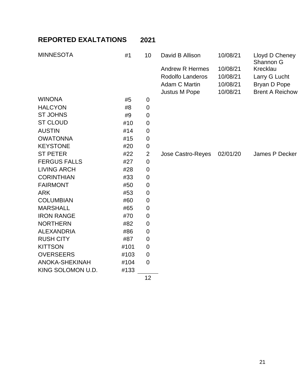# **REPORTED EXALTATIONS 2021**

| <b>MINNESOTA</b>      | #1   | 10               | David B Allison        | 10/08/21 | Lloyd D Cheney<br>Shannon G |
|-----------------------|------|------------------|------------------------|----------|-----------------------------|
|                       |      |                  | <b>Andrew R Hermes</b> | 10/08/21 | Krecklau                    |
|                       |      |                  | Rodolfo Landeros       | 10/08/21 | Larry G Lucht               |
|                       |      |                  | Adam C Martin          | 10/08/21 | Bryan D Pope                |
|                       |      |                  | <b>Justus M Pope</b>   | 10/08/21 | <b>Brent A Reichow</b>      |
| <b>WINONA</b>         | #5   | 0                |                        |          |                             |
| <b>HALCYON</b>        | #8   | $\mathbf 0$      |                        |          |                             |
| <b>ST JOHNS</b>       | #9   | 0                |                        |          |                             |
| <b>ST CLOUD</b>       | #10  | $\mathbf 0$      |                        |          |                             |
| <b>AUSTIN</b>         | #14  | $\mathbf 0$      |                        |          |                             |
| <b>OWATONNA</b>       | #15  | 0                |                        |          |                             |
| <b>KEYSTONE</b>       | #20  | $\mathbf 0$      |                        |          |                             |
| <b>ST PETER</b>       | #22  | $\overline{2}$   | Jose Castro-Reyes      | 02/01/20 | James P Decker              |
| <b>FERGUS FALLS</b>   | #27  | $\mathbf 0$      |                        |          |                             |
| <b>LIVING ARCH</b>    | #28  | $\mathbf 0$      |                        |          |                             |
| <b>CORINTHIAN</b>     | #33  | 0                |                        |          |                             |
| <b>FAIRMONT</b>       | #50  | $\boldsymbol{0}$ |                        |          |                             |
| <b>ARK</b>            | #53  | 0                |                        |          |                             |
| <b>COLUMBIAN</b>      | #60  | $\mathbf 0$      |                        |          |                             |
| <b>MARSHALL</b>       | #65  | $\mathbf 0$      |                        |          |                             |
| <b>IRON RANGE</b>     | #70  | $\boldsymbol{0}$ |                        |          |                             |
| <b>NORTHERN</b>       | #82  | $\mathbf 0$      |                        |          |                             |
| <b>ALEXANDRIA</b>     | #86  | 0                |                        |          |                             |
| <b>RUSH CITY</b>      | #87  | 0                |                        |          |                             |
| <b>KITTSON</b>        | #101 | $\mathbf 0$      |                        |          |                             |
| <b>OVERSEERS</b>      | #103 | 0                |                        |          |                             |
| <b>ANOKA-SHEKINAH</b> | #104 | $\overline{0}$   |                        |          |                             |
| KING SOLOMON U.D.     | #133 |                  |                        |          |                             |

12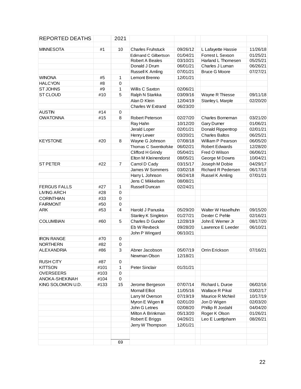| REPORTED DEATHS     |      | 2021           |                             |          |                           |          |
|---------------------|------|----------------|-----------------------------|----------|---------------------------|----------|
| <b>MINNESOTA</b>    | #1   | 10             | <b>Charles Fruhstuck</b>    | 09/26/12 | L Lafayette Hassie        | 11/26/18 |
|                     |      |                | <b>Edimand C Gilbertson</b> | 01/04/21 | Forrest L Sexson          | 01/25/21 |
|                     |      |                | Robert A Beales             | 03/10/21 | Harland L Thomesen        | 05/25/21 |
|                     |      |                | Donald J Drum               | 06/01/21 | Charles J Luman           | 06/26/21 |
|                     |      |                | Russell K Amling            | 07/01/21 | <b>Bruce G Moore</b>      | 07/27/21 |
| <b>WINONA</b>       | #5   | 1              | Lemont Brenno               | 12/01/21 |                           |          |
| <b>HALCYON</b>      | #8   | $\pmb{0}$      |                             |          |                           |          |
| ST JOHNS            | #9   | 1              | Willis C Saxton             | 02/06/21 |                           |          |
| ST CLOUD            | #10  | 5              | Ralph N Starkka             | 03/09/16 | Wayne R Thiesse           | 09/11/18 |
|                     |      |                | Alan D Klein                | 12/04/19 | Stanley L Marple          | 02/20/20 |
|                     |      |                | <b>Charles W Extrand</b>    | 06/23/20 |                           |          |
| <b>AUSTIN</b>       | #14  | $\pmb{0}$      |                             |          |                           |          |
| <b>OWATONNA</b>     | #15  | 8              | <b>Robert Peterson</b>      | 02/27/20 | Charles Borneman          | 03/21/20 |
|                     |      |                | Ray Hahn                    | 10/12/20 | Gary Durner               | 01/06/21 |
|                     |      |                | Jerald Loper                | 02/01/21 | Donald Rippentrop         | 02/01/21 |
|                     |      |                | Henry Lewer                 | 03/20/21 | <b>Charles Baltos</b>     | 06/25/21 |
| <b>KEYSTONE</b>     | #20  | 8              | Wayne G Johnson             | 07/08/18 | William P Pearson         | 06/05/20 |
|                     |      |                | Thomas C Swentkofske        | 06/02/21 | <b>Robert Edwards</b>     | 12/28/20 |
|                     |      |                | Clifford H Grindy           | 05/04/21 | Fred O Wilson             | 06/06/21 |
|                     |      |                | Elton M Kleinendorst        | 08/05/21 | George M Downs            | 10/04/21 |
| <b>ST PETER</b>     | #22  | $\overline{7}$ | Carrol D Cady               | 03/15/17 | Joseph M Dobie            | 04/29/17 |
|                     |      |                | James W Sommers             | 03/02/18 | <b>Richard R Pedersen</b> | 06/17/18 |
|                     |      |                | Harry L Johnson             | 06/24/18 | Russel K Amling           | 07/01/21 |
|                     |      |                | Jens C Mikkelsen            | 08/08/21 |                           |          |
| <b>FERGUS FALLS</b> | #27  | 1              | Russell Duncan              | 02/24/21 |                           |          |
| <b>LIVING ARCH</b>  | #28  | $\mathbf 0$    |                             |          |                           |          |
| <b>CORINTHIAN</b>   | #33  | $\pmb{0}$      |                             |          |                           |          |
| <b>FAIRMONT</b>     | #50  | 0              |                             |          |                           |          |
| <b>ARK</b>          | #53  | 4              | Harold J Panuska            | 05/29/20 | Walter W Haselhuhn        | 09/15/20 |
|                     |      |                | Stanley K Singleton         | 01/27/21 | Dexter C Pehle            | 02/16/21 |
| <b>COLUMBIAN</b>    | #60  | 5              | Charles D Gunder            | 12/28/19 | John E Werner Jr          | 08/17/20 |
|                     |      |                | Eb W Revbeck                | 09/28/20 | Lawrence E Leeder         | 06/10/21 |
|                     |      |                | John P Wingard              | 06/10/21 |                           |          |
| <b>IRON RANGE</b>   | #70  | $\mathbf 0$    |                             |          |                           |          |
| <b>NORTHERN</b>     | #82  | $\mathbf 0$    |                             |          |                           |          |
| <b>ALEXANDRIA</b>   | #86  | 3              | Abner Jacobson              | 05/07/19 | Orrin Erickson            | 07/16/21 |
|                     |      |                | Newman Olson                | 12/18/21 |                           |          |
| <b>RUSH CITY</b>    | #87  | 0              |                             |          |                           |          |
| <b>KITTSON</b>      | #101 | 1              | Peter Sinclair              | 01/31/21 |                           |          |
| <b>OVERSEERS</b>    | #103 | $\pmb{0}$      |                             |          |                           |          |
| ANOKA-SHEKINAH      | #104 | $\pmb{0}$      |                             |          |                           |          |
| KING SOLOMON U.D.   | #133 | 15             | Jerome Bergeson             | 07/07/14 | Richard L Duroe           | 06/02/16 |
|                     |      |                | <b>Mornall Elliot</b>       | 11/05/16 | <b>Wallace R Pikal</b>    | 03/02/17 |
|                     |      |                | Larry M Overson             | 07/19/19 | Maurice R McNeil          | 10/17/19 |
|                     |      |                | Myron E Wigen III           | 02/01/20 | Jon D Wigen               | 02/03/20 |
|                     |      |                | John G Letnes               | 02/08/20 | Phillip R Jordahl         | 04/04/20 |
|                     |      |                | Milton A Brinkman           | 05/13/20 | Roger K Olson             | 01/26/21 |
|                     |      |                | Robert E Briggs             | 04/26/21 | Leo E Luettjohann         | 08/26/21 |
|                     |      |                | Jerry W Thompson            | 12/01/21 |                           |          |
|                     |      |                |                             |          |                           |          |
|                     |      |                |                             |          |                           |          |
|                     |      | 69             |                             |          |                           |          |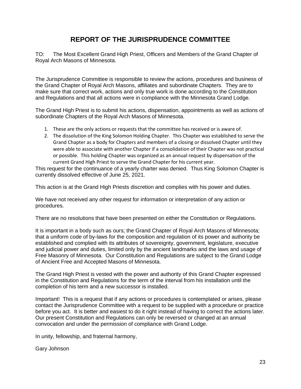#### **REPORT OF THE JURISPRUDENCE COMMITTEE**

TO: The Most Excellent Grand High Priest, Officers and Members of the Grand Chapter of Royal Arch Masons of Minnesota.

The Jurisprudence Committee is responsible to review the actions, procedures and business of the Grand Chapter of Royal Arch Masons, affiliates and subordinate Chapters. They are to make sure that correct work, actions and only true work is done according to the Constitution and Regulations and that all actions were in compliance with the Minnesota Grand Lodge.

The Grand High Priest is to submit his actions, dispensation, appointments as well as actions of subordinate Chapters of the Royal Arch Masons of Minnesota.

- 1. These are the only actions or requests that the committee has received or is aware of.
- 2. The dissolution of the King Solomon Holding Chapter. This Chapter was established to serve the Grand Chapter as a body for Chapters and members of a closing or dissolved Chapter until they were able to associate with another Chapter if a consolidation of their Chapter was not practical or possible. This holding Chapter was organized as an annual request by dispensation of the current Grand High Priest to serve the Grand Chapter for his current year.

This request for the continuance of a yearly charter was denied. Thus King Solomon Chapter is currently dissolved effective of June 25, 2021.

This action is at the Grand High Priests discretion and complies with his power and duties.

We have not received any other request for information or interpretation of any action or procedures.

There are no resolutions that have been presented on either the Constitution or Regulations.

It is important in a body such as ours; the Grand Chapter of Royal Arch Masons of Minnesota; that a uniform code of by-laws for the composition and regulation of its power and authority be established and complied with its attributes of sovereignty, government, legislature, executive and judicial power and duties, limited only by the ancient landmarks and the laws and usage of Free Masonry of Minnesota. Our Constitution and Regulations are subject to the Grand Lodge of Ancient Free and Accepted Masons of Minnesota.

The Grand High Priest is vested with the power and authority of this Grand Chapter expressed in the Constitution and Regulations for the term of the interval from his installation until the completion of his term and a new successor is installed.

Important! This is a request that if any actions or procedures is contemplated or arises, please contact the Jurisprudence Committee with a request to be supplied with a procedure or practice before you act. It is better and easiest to do it right instead of having to correct the actions later. Our present Constitution and Regulations can only be reversed or changed at an annual convocation and under the permission of compliance with Grand Lodge.

In unity, fellowship, and fraternal harmony,

Gary Johnson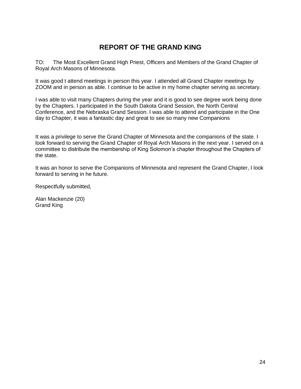## **REPORT OF THE GRAND KING**

TO: The Most Excellent Grand High Priest, Officers and Members of the Grand Chapter of Royal Arch Masons of Minnesota.

It was good t attend meetings in person this year. I attended all Grand Chapter meetings by ZOOM and in person as able. I continue to be active in my home chapter serving as secretary.

I was able to visit many Chapters during the year and it is good to see degree work being done by the Chapters. I participated in the South Dakota Grand Session, the North Central Conference, and the Nebraska Grand Session. I was able to attend and participate in the One day to Chapter, it was a fantastic day and great to see so many new Companions

It was a privilege to serve the Grand Chapter of Minnesota and the companions of the state. I look forward to serving the Grand Chapter of Royal Arch Masons in the next year. I served on a committee to distribute the membership of King Solomon's chapter throughout the Chapters of the state.

It was an honor to serve the Companions of Minnesota and represent the Grand Chapter, I look forward to serving in he future.

Respectfully submitted,

Alan Mackenzie (20) Grand King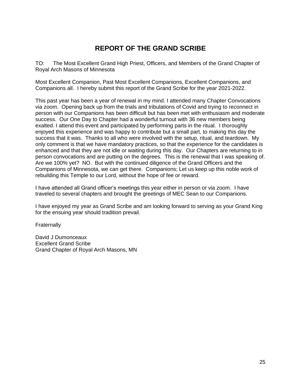## **REPORT OF THE GRAND SCRIBE**

TO: The Most Excellent Grand High Priest, Officers, and Members of the Grand Chapter of Royal Arch Masons of Minnesota

Most Excellent Companion, Past Most Excellent Companions, Excellent Companions, and Companions all. I hereby submit this report of the Grand Scribe for the year 2021-2022.

This past year has been a year of renewal in my mind. I attended many Chapter Convocations via zoom. Opening back up from the trials and tribulations of Covid and trying to reconnect in person with our Companions has been difficult but has been met with enthusiasm and moderate success. Our One Day to Chapter had a wonderful turnout with 36 new members being exalted. I attend this event and participated by performing parts in the ritual. I thoroughly enjoyed this experience and was happy to contribute but a small part, to making this day the success that it was. Thanks to all who were involved with the setup, ritual, and teardown. My only comment is that we have mandatory practices, so that the experience for the candidates is enhanced and that they are not idle or waiting during this day. Our Chapters are returning to in person convocations and are putting on the degrees. This is the renewal that I was speaking of. Are we 100% yet? NO. But with the continued diligence of the Grand Officers and the Companions of Minnesota, we can get there. Companions; Let us keep up this noble work of rebuilding this Temple to our Lord, without the hope of fee or reward.

I have attended all Grand officer's meetings this year either in person or via zoom. I have traveled to several chapters and brought the greetings of MEC Sean to our Companions.

I have enjoyed my year as Grand Scribe and am looking forward to serving as your Grand King for the ensuing year should tradition prevail.

**Fraternally** 

David J Dumonceaux Excellent Grand Scribe Grand Chapter of Royal Arch Masons, MN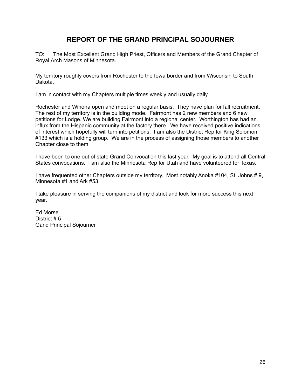#### **REPORT OF THE GRAND PRINCIPAL SOJOURNER**

TO: The Most Excellent Grand High Priest, Officers and Members of the Grand Chapter of Royal Arch Masons of Minnesota.

My territory roughly covers from Rochester to the Iowa border and from Wisconsin to South Dakota.

I am in contact with my Chapters multiple times weekly and usually daily.

Rochester and Winona open and meet on a regular basis. They have plan for fall recruitment. The rest of my territory is in the building mode. Fairmont has 2 new members and 6 new petitions for Lodge. We are building Fairmont into a regional center. Worthington has had an influx from the Hispanic community at the factory there. We have received positive indications of interest which hopefully will turn into petitions. I am also the District Rep for King Solomon #133 which is a holding group. We are in the process of assigning those members to another Chapter close to them.

I have been to one out of state Grand Convocation this last year. My goal is to attend all Central States convocations. I am also the Minnesota Rep for Utah and have volunteered for Texas.

I have frequented other Chapters outside my territory. Most notably Anoka #104, St. Johns # 9, Minnesota #1 and Ark #53.

I take pleasure in serving the companions of my district and look for more success this next year.

Ed Morse District # 5 Gand Principal Sojourner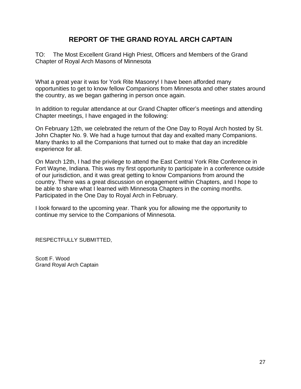#### **REPORT OF THE GRAND ROYAL ARCH CAPTAIN**

TO: The Most Excellent Grand High Priest, Officers and Members of the Grand Chapter of Royal Arch Masons of Minnesota

What a great year it was for York Rite Masonry! I have been afforded many opportunities to get to know fellow Companions from Minnesota and other states around the country, as we began gathering in person once again.

In addition to regular attendance at our Grand Chapter officer's meetings and attending Chapter meetings, I have engaged in the following:

On February 12th, we celebrated the return of the One Day to Royal Arch hosted by St. John Chapter No. 9. We had a huge turnout that day and exalted many Companions. Many thanks to all the Companions that turned out to make that day an incredible experience for all.

On March 12th, I had the privilege to attend the East Central York Rite Conference in Fort Wayne, Indiana. This was my first opportunity to participate in a conference outside of our jurisdiction, and it was great getting to know Companions from around the country. There was a great discussion on engagement within Chapters, and I hope to be able to share what I learned with Minnesota Chapters in the coming months. Participated in the One Day to Royal Arch in February.

I look forward to the upcoming year. Thank you for allowing me the opportunity to continue my service to the Companions of Minnesota.

RESPECTFULLY SUBMITTED,

Scott F. Wood Grand Royal Arch Captain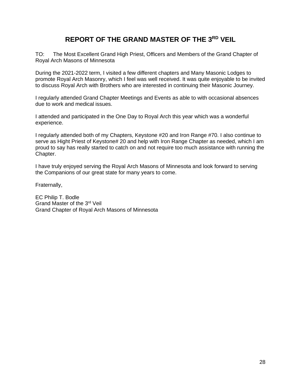#### **REPORT OF THE GRAND MASTER OF THE 3RD VEIL**

TO: The Most Excellent Grand High Priest, Officers and Members of the Grand Chapter of Royal Arch Masons of Minnesota

During the 2021-2022 term, I visited a few different chapters and Many Masonic Lodges to promote Royal Arch Masonry, which I feel was well received. It was quite enjoyable to be invited to discuss Royal Arch with Brothers who are interested in continuing their Masonic Journey.

I regularly attended Grand Chapter Meetings and Events as able to with occasional absences due to work and medical issues.

I attended and participated in the One Day to Royal Arch this year which was a wonderful experience.

I regularly attended both of my Chapters, Keystone #20 and Iron Range #70. I also continue to serve as Hight Priest of Keystone# 20 and help with Iron Range Chapter as needed, which I am proud to say has really started to catch on and not require too much assistance with running the Chapter.

I have truly enjoyed serving the Royal Arch Masons of Minnesota and look forward to serving the Companions of our great state for many years to come.

Fraternally,

EC Philip T. Bodle Grand Master of the 3rd Veil Grand Chapter of Royal Arch Masons of Minnesota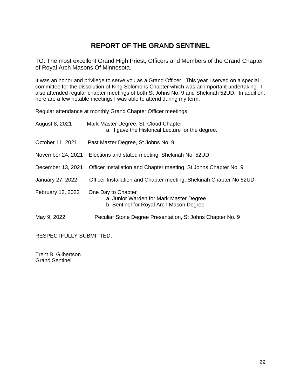#### **REPORT OF THE GRAND SENTINEL**

TO: The most excellent Grand High Priest, Officers and Members of the Grand Chapter of Royal Arch Masons Of Minnesota.

It was an honor and privilege to serve you as a Grand Officer. This year I served on a special committee for the dissolution of King Solomons Chapter which was an important undertaking. I also attended regular chapter meetings of both St Johns No. 9 and Shekinah 52UD. In addition, here are a few notable meetings I was able to attend during my term.

Regular attendance at monthly Grand Chapter Officer meetings.

| August 8, 2021    | Mark Master Degree, St. Cloud Chapter<br>a. I gave the Historical Lecture for the degree.                |
|-------------------|----------------------------------------------------------------------------------------------------------|
| October 11, 2021  | Past Master Degree, St Johns No. 9.                                                                      |
| November 24, 2021 | Elections and stated meeting, Shekinah No. 52UD                                                          |
| December 13, 2021 | Officer Installation and Chapter meeting, St Johns Chapter No. 9                                         |
| January 27, 2022  | Officer Installation and Chapter meeting, Shekinah Chapter No 52UD                                       |
| February 12, 2022 | One Day to Chapter<br>a. Junior Warden for Mark Master Degree<br>b. Sentinel for Royal Arch Mason Degree |
| May 9, 2022       | Peculiar Stone Degree Presentation, St Johns Chapter No. 9                                               |

RESPECTFULLY SUBMITTED,

Trent B. Gilbertson Grand Sentinel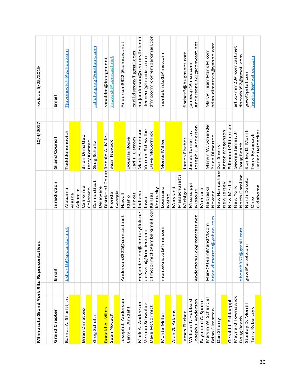| Minnesota Grand York Rite Representatives |                                          |                | 10/4/2017                         | revised 5/25/2019           |
|-------------------------------------------|------------------------------------------|----------------|-----------------------------------|-----------------------------|
|                                           |                                          |                |                                   |                             |
| <b>Grand Chapter</b>                      | Email                                    | Jurisdiction   | <b>Grand Council</b>              | Email                       |
| Barnes A. Sharitt, Jr.                    | pace star.net<br>bsharitt@s              | Alabama        | Todd Jononovich                   | Tjovonovich@yahoo.com       |
|                                           |                                          | Alaska         |                                   |                             |
|                                           |                                          | Arkansas       |                                   |                             |
| Brian Dimatteo                            |                                          | California     | Brian Dimatteo                    |                             |
|                                           |                                          | Colorado       | Jerry Korstad                     |                             |
| Greg Schultz                              |                                          | Connecticut    | Greg Schultz                      | schultz.greg@outlook.com    |
|                                           |                                          | Delaware       |                                   |                             |
| Ronald A. Miles                           |                                          |                | District of Colum Ronald A. Miles | ronaldm@integra.net         |
| Sean Novack                               |                                          | Florida        | Sean Novack                       | snovack@comcast.net         |
|                                           |                                          | Georgia        |                                   |                             |
| Joseph J. Anderson                        | Anderson8322@comcast.net                 | <b>Hawaii</b>  |                                   | Anderson8322@comcast.net    |
| Amdahl<br>Larry L.                        |                                          | Idaho          | Douglas Bogie                     |                             |
|                                           |                                          | Illinois       | Carl F. Listrom                   | carl.lidstrom@gmail.com     |
| Mark A. Anderson                          | mnjanderson@centurylink.net Indiana      |                | Mark A. Anderson                  | mnjanderson@centurylink.net |
| Vernon Schwalbe                           | deevern@frontier.com                     | lowa           | Vernon Schwalbe                   | deevern@frontier.com        |
| Dave McCormick                            | dfmccormick@embarqmail.con Kansas        |                | Dave McCormick                    | dfmccormick@embarqmail.com  |
|                                           |                                          | Kentucky       |                                   |                             |
| Monte Miller                              | o1@me.com<br>montekrist                  | Louisiana      | Monte Miller                      | montekristo1@me.com         |
|                                           |                                          | Maine          |                                   |                             |
| Alan G. Adams                             |                                          | Maryland       |                                   |                             |
|                                           |                                          | Massachusetts  |                                   |                             |
| James Fischer                             |                                          | Michigan       | James Fischer                     | fischer3@hughsnet.com       |
| William T. Hubbard                        |                                          | Mississippi    | James Turner, Jr.                 | jamestjr@msn.com            |
| Joseph J. Anderson                        | 322@comcast.net<br>Anderson <sub>8</sub> | Missouri       | Joseph J. Anderson                | Anderson8322@comcast.net    |
| Raymond C. Sporre                         |                                          | Montana        |                                   |                             |
| Marvin W. Schende                         | Marv@TeamMandM.com                       | Nebraska       | Marvin W. Schendel                | Marv@TeamMandM.com          |
| Brian Dimatteo                            | brian.dimatteo@yahoo.com                 | Nevada         | <b>Brian Dimatteo</b>             | brian.dimatteo@yahoo.com    |
| Dan Sherry                                |                                          | New Hampshire  | Dan Sherry                        |                             |
|                                           |                                          | New Jersey     | Anton Mogenson                    |                             |
| Gerald J. Schlaeppi                       |                                          | New Mexico     | Edimund Gilbertson                |                             |
| Maynard Townswick                         |                                          | New York       | George James, Jr.                 | ark53-mm23@comcast.net      |
| Doug Beach                                | @gmail.com<br>dbeach <sub>357</sub>      | North Carolina | Doug Beach                        | dbeach357@gmail.com         |
| Stanley D. Morrill                        | com.<br>gow@prtel                        | North Dakota   | Stanley D. Morrill                | gow@prtel.com               |
| Terry Rybarczyk                           |                                          | Ohio           | Terry Rybarczyk                   | hewho46@yahoo.com           |
|                                           |                                          | Oklahoma       | Harlan Heidecker                  |                             |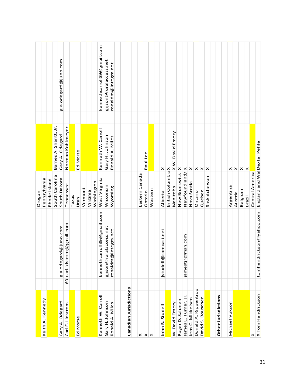|                        |         |                            | Oregon                       |                        |                            |
|------------------------|---------|----------------------------|------------------------------|------------------------|----------------------------|
| Keith A. Kennedy       |         |                            | Pennsylvania                 |                        |                            |
|                        |         |                            | Rhode Island                 |                        |                            |
|                        |         |                            | South Carolina               | Barnes A. Sharitt, Jr. |                            |
| Gary A. Odegard        |         | g.a.odegard@juno.com       | South Dakota                 | Gary A. Odegard        | g.a.odegard@juno.com       |
| Carl F. Lidstrom       |         | 60 carl lidstrom@gmail.com | Tennessee                    | Norman Kohlmeyer       |                            |
|                        |         |                            | Texas                        |                        |                            |
| Ed Morse               |         |                            | Utah                         | Ed Morse               |                            |
|                        |         |                            | Vermont                      |                        |                            |
|                        |         |                            | Virginia                     |                        |                            |
|                        |         |                            | Washington                   |                        |                            |
| Kenneth W. Carroll     |         | kennethcarroll39@gmail.com | West Virginia                | Kenneth W. Carroll     | kennethcarroll39@gmail.com |
| Gary H. Johnson        |         | gjjson@ruralaccess.net     | Wisconsin                    | Gary H. Johnson        | gjjson@ruralaccess.net     |
| Ronald A. Miles        |         | ronaldm@integra.net        | Wyoming                      | Ronald A. Miles        | ronaldm@integra.net        |
|                        |         |                            |                              |                        |                            |
|                        |         |                            |                              |                        |                            |
| Canadian Jurisdictions |         |                            |                              |                        |                            |
|                        |         |                            |                              |                        |                            |
| $\times$               |         |                            | Eastern Canada               |                        |                            |
| $\times$ $\times$      |         |                            | Ontario                      | Raul Lee               |                            |
|                        |         |                            | Western                      |                        |                            |
|                        |         |                            |                              |                        |                            |
| John B. Studell        | jstudel | l@comcast.net              | Alberta                      | $\times$               |                            |
|                        |         |                            | British ColumbiaX            |                        |                            |
| W. David Emery         |         |                            | Manitoba                     | XW. David Emery        |                            |
| Roger D. Salonen       |         |                            | New Brunswick X              |                        |                            |
| James E. Turner, Jr.   |         | jamestjr@msn.com           | Newfoundland/X               |                        |                            |
| Jens C. Mikkelsen      |         |                            | Nova Scotia                  | $\times$               |                            |
| Donald A. Rippentrop   |         |                            | Ontario                      | $\times$               |                            |
| David S. Bouscher      |         |                            | Quebec                       | $\times$               |                            |
|                        |         |                            | Saskatchewan                 | $\times$               |                            |
|                        |         |                            |                              |                        |                            |
| Other Jurisdictions    |         |                            |                              |                        |                            |
|                        |         |                            |                              |                        |                            |
| Michael Vukson         |         |                            | Argentina                    | ×                      |                            |
|                        |         |                            | Austria                      | $\times$               |                            |
|                        |         |                            | Belgium                      | $\times$               |                            |
|                        |         |                            | Brazil                       | $\mathsf{\times}$      |                            |
| ×                      |         |                            | Central America              |                        |                            |
| X Tom Hendrickson      | tomhe   | ndrickson@yahoo.com        | England and Wal Dexter Pehle |                        |                            |